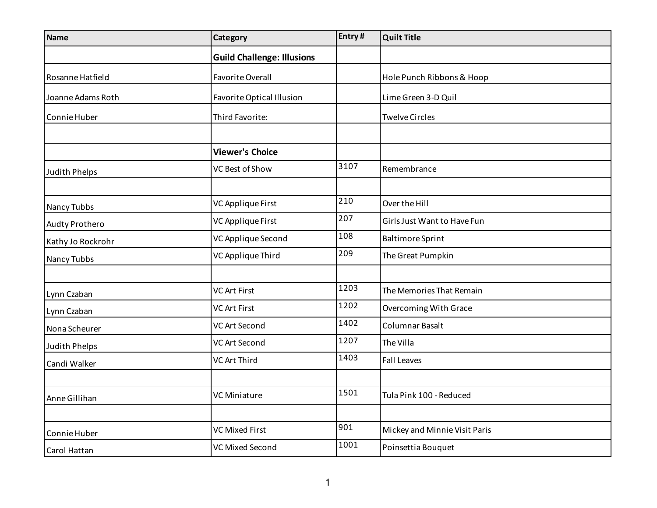| <b>Name</b>       | Category                          | Entry# | <b>Quilt Title</b>            |
|-------------------|-----------------------------------|--------|-------------------------------|
|                   | <b>Guild Challenge: Illusions</b> |        |                               |
| Rosanne Hatfield  | <b>Favorite Overall</b>           |        | Hole Punch Ribbons & Hoop     |
| Joanne Adams Roth | <b>Favorite Optical Illusion</b>  |        | Lime Green 3-D Quil           |
| Connie Huber      | Third Favorite:                   |        | <b>Twelve Circles</b>         |
|                   |                                   |        |                               |
|                   | <b>Viewer's Choice</b>            |        |                               |
| Judith Phelps     | VC Best of Show                   | 3107   | Remembrance                   |
|                   |                                   |        |                               |
| Nancy Tubbs       | VC Applique First                 | 210    | Over the Hill                 |
| Audty Prothero    | VC Applique First                 | 207    | Girls Just Want to Have Fun   |
| Kathy Jo Rockrohr | VC Applique Second                | 108    | <b>Baltimore Sprint</b>       |
| Nancy Tubbs       | VC Applique Third                 | 209    | The Great Pumpkin             |
|                   |                                   |        |                               |
| Lynn Czaban       | <b>VC Art First</b>               | 1203   | The Memories That Remain      |
| Lynn Czaban       | <b>VC Art First</b>               | 1202   | <b>Overcoming With Grace</b>  |
| Nona Scheurer     | <b>VC Art Second</b>              | 1402   | Columnar Basalt               |
| Judith Phelps     | <b>VC Art Second</b>              | 1207   | The Villa                     |
| Candi Walker      | <b>VC Art Third</b>               | 1403   | <b>Fall Leaves</b>            |
|                   |                                   |        |                               |
| Anne Gillihan     | <b>VC Miniature</b>               | 1501   | Tula Pink 100 - Reduced       |
|                   |                                   |        |                               |
| Connie Huber      | <b>VC Mixed First</b>             | 901    | Mickey and Minnie Visit Paris |
| Carol Hattan      | <b>VC Mixed Second</b>            | 1001   | Poinsettia Bouquet            |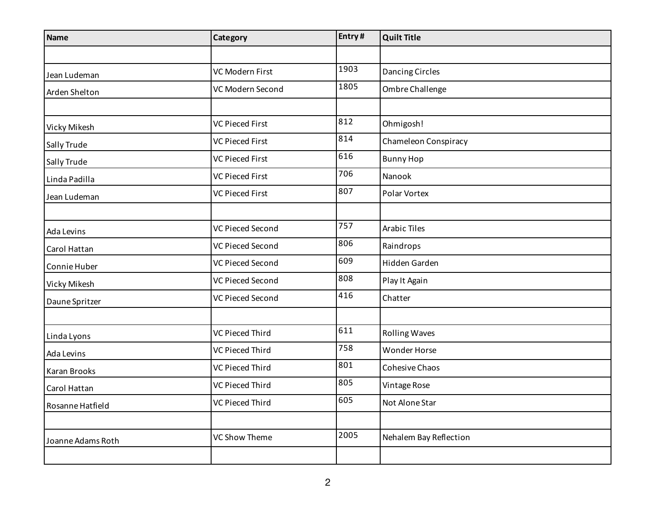| <b>Name</b>       | Category                | Entry# | <b>Quilt Title</b>     |
|-------------------|-------------------------|--------|------------------------|
|                   |                         |        |                        |
| Jean Ludeman      | VC Modern First         | 1903   | Dancing Circles        |
| Arden Shelton     | VC Modern Second        | 1805   | Ombre Challenge        |
|                   |                         |        |                        |
| Vicky Mikesh      | <b>VC Pieced First</b>  | 812    | Ohmigosh!              |
| Sally Trude       | <b>VC Pieced First</b>  | 814    | Chameleon Conspiracy   |
| Sally Trude       | <b>VC Pieced First</b>  | 616    | <b>Bunny Hop</b>       |
| Linda Padilla     | <b>VC Pieced First</b>  | 706    | Nanook                 |
| Jean Ludeman      | <b>VC Pieced First</b>  | 807    | Polar Vortex           |
|                   |                         |        |                        |
| Ada Levins        | <b>VC Pieced Second</b> | 757    | <b>Arabic Tiles</b>    |
| Carol Hattan      | VC Pieced Second        | 806    | Raindrops              |
| Connie Huber      | <b>VC Pieced Second</b> | 609    | Hidden Garden          |
| Vicky Mikesh      | <b>VC Pieced Second</b> | 808    | Play It Again          |
| Daune Spritzer    | <b>VC Pieced Second</b> | 416    | Chatter                |
|                   |                         |        |                        |
| Linda Lyons       | VC Pieced Third         | 611    | <b>Rolling Waves</b>   |
| Ada Levins        | VC Pieced Third         | 758    | <b>Wonder Horse</b>    |
| Karan Brooks      | <b>VC Pieced Third</b>  | 801    | Cohesive Chaos         |
| Carol Hattan      | VC Pieced Third         | 805    | Vintage Rose           |
| Rosanne Hatfield  | VC Pieced Third         | 605    | Not Alone Star         |
|                   |                         |        |                        |
| Joanne Adams Roth | <b>VC Show Theme</b>    | 2005   | Nehalem Bay Reflection |
|                   |                         |        |                        |